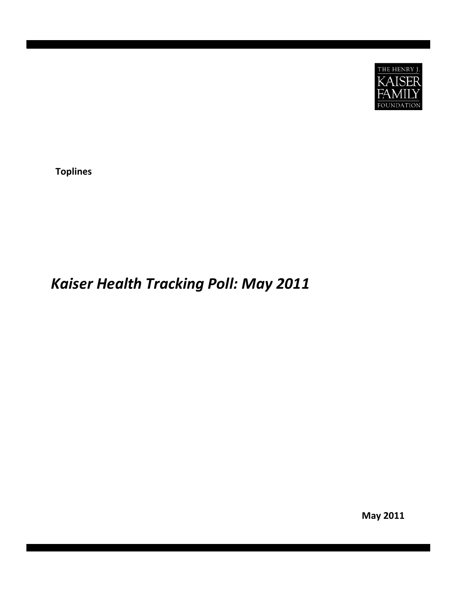

**Topline es**

# *Kaise r Heal th Tracking Poll: May 2011*

**May 2011**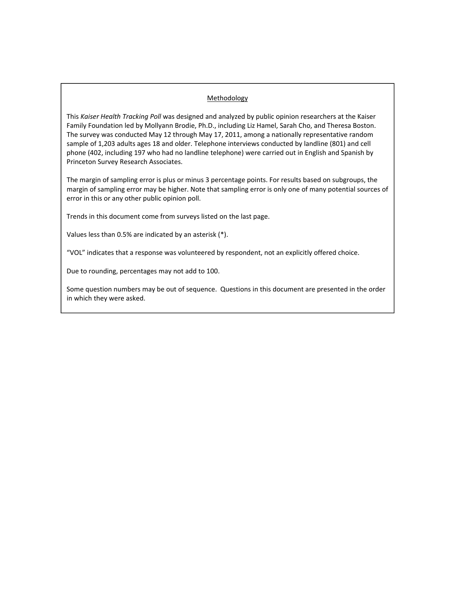# **Methodology**

This *Kaiser Health Tracking Poll* was designed and analyzed by public opinion researchers at the Kaiser Family Foundation led by Mollyann Brodie, Ph.D., including Liz Hamel, Sarah Cho, and Theresa Boston. The survey was conducted May 12 through May 17, 2011, among a nationally representative random sample of 1,203 adults ages 18 and older. Telephone interviews conducted by landline (801) and cell phone (402, including 197 who had no landline telephone) were carried out in English and Spanish by Princeton Survey Research Associates.

The margin of sampling error is plus or minus 3 percentage points. For results based on subgroups, the margin of sampling error may be higher. Note that sampling error is only one of many potential sources of error in this or any other public opinion poll.

Trends in this document come from surveys listed on the last page.

Values less than 0.5% are indicated by an asterisk (\*).

"VOL" indicates that a response was volunteered by respondent, not an explicitly offered choice.

Due to rounding, percentages may not add to 100.

Some question numbers may be out of sequence. Questions in this document are presented in the order in which they were asked.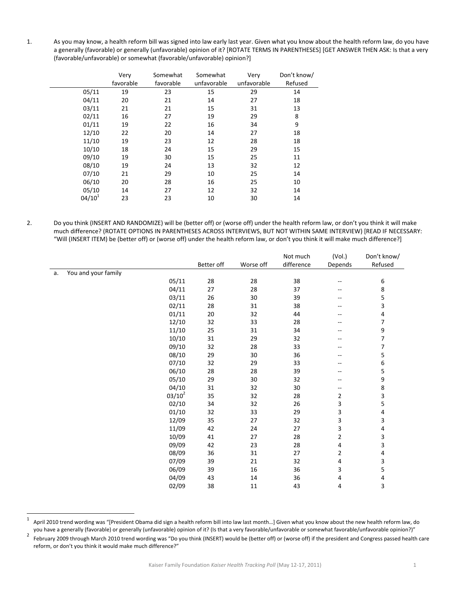1. As you may know, a health reform bill was signed into law early last year. Given what you know about the health reform law, do you have a generally (favorable) or generally (unfavorable) opinion of it? [ROTATE TERMS IN PARENTHESES] [GET ANSWER THEN ASK: Is that a very (favorable/unfavorable) or somewhat (favorable/unfavorable) opinion?]

|             | Very      | Somewhat  | Somewhat    | Very        | Don't know/ |
|-------------|-----------|-----------|-------------|-------------|-------------|
|             | favorable | favorable | unfavorable | unfavorable | Refused     |
| 05/11       | 19        | 23        | 15          | 29          | 14          |
| 04/11       | 20        | 21        | 14          | 27          | 18          |
| 03/11       | 21        | 21        | 15          | 31          | 13          |
| 02/11       | 16        | 27        | 19          | 29          | 8           |
| 01/11       | 19        | 22        | 16          | 34          | 9           |
| 12/10       | 22        | 20        | 14          | 27          | 18          |
| 11/10       | 19        | 23        | 12          | 28          | 18          |
| 10/10       | 18        | 24        | 15          | 29          | 15          |
| 09/10       | 19        | 30        | 15          | 25          | 11          |
| 08/10       | 19        | 24        | 13          | 32          | 12          |
| 07/10       | 21        | 29        | 10          | 25          | 14          |
| 06/10       | 20        | 28        | 16          | 25          | 10          |
| 05/10       | 14        | 27        | 12          | 32          | 14          |
| $04/10^{1}$ | 23        | 23        | 10          | 30          | 14          |
|             |           |           |             |             |             |

2. Do you think (INSERT AND RANDOMIZE) will be (better off) or (worse off) under the health reform law, or don't you think it will make much difference? (ROTATE OPTIONS IN PARENTHESES ACROSS INTERVIEWS, BUT NOT WITHIN SAME INTERVIEW) [READ IF NECESSARY: "Will (INSERT ITEM) be (better off) or (worse off) under the health reform law, or don't you think it will make much difference?]

|    |                     |           |            |           | Not much   | (Vol.)                   | Don't know/               |
|----|---------------------|-----------|------------|-----------|------------|--------------------------|---------------------------|
|    |                     |           | Better off | Worse off | difference | Depends                  | Refused                   |
| a. | You and your family |           |            |           |            |                          |                           |
|    |                     | 05/11     | 28         | 28        | 38         | $\sim$                   | $\,6\,$                   |
|    |                     | 04/11     | 27         | 28        | 37         |                          | 8                         |
|    |                     | 03/11     | 26         | 30        | 39         |                          | 5                         |
|    |                     | 02/11     | 28         | 31        | 38         | --                       | $\mathbf{3}$              |
|    |                     | 01/11     | 20         | 32        | 44         |                          | $\overline{\mathbf{4}}$   |
|    |                     | 12/10     | 32         | 33        | 28         | --                       | $\overline{\phantom{a}}$  |
|    |                     | 11/10     | 25         | 31        | 34         |                          | 9                         |
|    |                     | 10/10     | 31         | 29        | 32         |                          | $\overline{\mathcal{I}}$  |
|    |                     | 09/10     | 32         | 28        | 33         | --                       | $\overline{\phantom{a}}$  |
|    |                     | 08/10     | 29         | 30        | 36         |                          | 5                         |
|    |                     | 07/10     | 32         | 29        | 33         | $\overline{\phantom{m}}$ | 6                         |
|    |                     | 06/10     | 28         | 28        | 39         | --                       | 5                         |
|    |                     | 05/10     | 29         | 30        | 32         | $\overline{\phantom{a}}$ | 9                         |
|    |                     | 04/10     | 31         | 32        | $30\,$     | $-$                      | $\bf 8$                   |
|    |                     | $03/10^2$ | 35         | 32        | 28         | $\overline{2}$           | $\mathbf{3}$              |
|    |                     | 02/10     | 34         | 32        | 26         | 3                        | 5                         |
|    |                     | 01/10     | 32         | 33        | 29         | 3                        | $\overline{\mathbf{4}}$   |
|    |                     | 12/09     | 35         | 27        | 32         | 3                        | $\ensuremath{\mathsf{3}}$ |
|    |                     | 11/09     | 42         | 24        | 27         | 3                        | 4                         |
|    |                     | 10/09     | 41         | 27        | 28         | $\overline{2}$           | $\ensuremath{\mathsf{3}}$ |
|    |                     | 09/09     | 42         | 23        | 28         | 4                        | $\overline{\mathbf{3}}$   |
|    |                     | 08/09     | 36         | 31        | 27         | $\overline{2}$           | 4                         |
|    |                     | 07/09     | 39         | 21        | 32         | 4                        | $\ensuremath{\mathsf{3}}$ |
|    |                     | 06/09     | 39         | 16        | 36         | 3                        | 5                         |
|    |                     | 04/09     | 43         | 14        | 36         | 4                        | $\overline{\mathbf{4}}$   |
|    |                     | 02/09     | 38         | 11        | 43         | 4                        | 3                         |

 $1$  April 2010 trend wording was "[President Obama did sign a health reform bill into law last month...] Given what you know about the new health reform law, do

you have a generally (favorable) or generally (unfavorable) opinion of it? (Is that a very favorable/unfavorable or somewhat favorable/unfavorable opinion?)"<br>February 2009 through March 2010 trend wording was "Do you think reform, or don't you think it would make much difference?"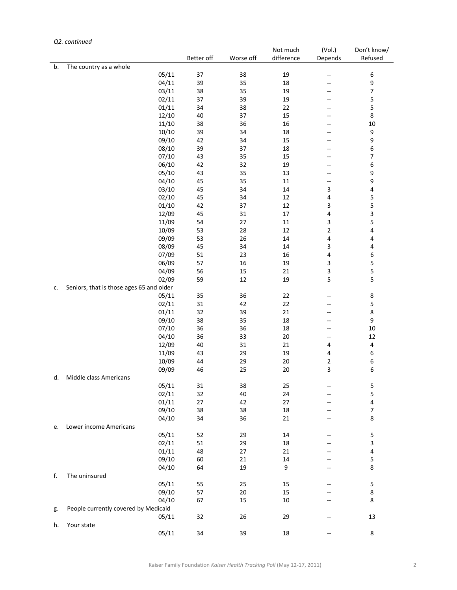# *Q2. continued*

|    |                                          |            |           | Not much   | (Vol.)      | Don't know/ |
|----|------------------------------------------|------------|-----------|------------|-------------|-------------|
|    |                                          | Better off | Worse off | difference | Depends     | Refused     |
| b. | The country as a whole                   |            |           |            |             |             |
|    | 05/11                                    | 37         | 38        | 19         | --          | 6           |
|    | 04/11                                    | 39         | 35        | 18         |             | 9           |
|    | 03/11                                    | 38         | 35        | 19         | $-$         | 7           |
|    | 02/11                                    | 37         | 39        | 19         | --          | 5           |
|    | 01/11                                    | 34         | 38        | 22         |             | 5           |
|    | 12/10                                    | 40         | 37        | 15         | --          | 8           |
|    | 11/10                                    | 38         | 36        | 16         | --          | 10          |
|    | 10/10                                    | 39         | 34        | 18         |             | 9           |
|    | 09/10                                    | 42         | 34        | 15         | $-$         | 9           |
|    | 08/10                                    | 39         | 37        | 18         | --          | 6           |
|    | 07/10                                    | 43         | 35        | 15         |             | 7           |
|    | 06/10                                    | 42         | 32        | 19         | --          | 6           |
|    | 05/10                                    | 43         | 35        | 13         | --          | 9           |
|    | 04/10                                    | 45         | 35        | 11         | --          | 9           |
|    | 03/10                                    | 45         | 34        | 14         | 3           | 4           |
|    | 02/10                                    | 45         | 34        | 12         | 4           | 5           |
|    | 01/10                                    | 42         | 37        | 12         | 3           | 5           |
|    | 12/09                                    | 45         | 31        | $17\,$     | 4           | 3           |
|    | 11/09                                    | 54         | 27        | 11         | 3           | 5           |
|    | 10/09                                    | 53         | 28        | 12         | $\mathbf 2$ | 4           |
|    | 09/09                                    | 53         | 26        | 14         | 4           | 4           |
|    | 08/09                                    | 45         | 34        | 14         | $\mathsf 3$ | 4           |
|    | 07/09                                    | 51         | 23        | 16         | 4           | 6           |
|    | 06/09                                    | 57         | 16        | 19         | 3           | 5           |
|    | 04/09                                    | 56         | 15        | 21         | 3           | 5           |
|    | 02/09                                    | 59         | 12        | 19         | 5           | 5           |
| c. | Seniors, that is those ages 65 and older |            |           |            |             |             |
|    | 05/11                                    | 35         | 36        | 22         |             | 8           |
|    | 02/11                                    | 31         | 42        | 22         | --          | 5           |
|    | 01/11                                    | 32         | 39        | 21         | --          | 8           |
|    | 09/10                                    | 38         | 35        | 18         |             | 9           |
|    | 07/10                                    | 36         | 36        | 18         | --          | 10          |
|    | 04/10                                    | 36         | 33        | $20\,$     | $-$         | 12          |
|    | 12/09                                    | 40         | 31        | 21         | 4           | 4           |
|    | 11/09                                    | 43         | 29        | 19         | 4           | 6           |
|    | 10/09                                    | 44         | 29        | 20         | 2           | 6           |
|    | 09/09                                    | 46         | 25        | 20         | 3           | 6           |
| d. | Middle class Americans                   |            |           |            |             |             |
|    | 05/11                                    | 31         | 38        | 25         |             | 5           |
|    | 02/11                                    | 32         | 40        | 24         |             | 5           |
|    | 01/11                                    | 27         | 42        | 27         |             | 4           |
|    | 09/10                                    | 38         | 38        | 18         | --          | 7           |
|    | 04/10                                    | 34         | 36        | 21         |             | 8           |
| e. | Lower income Americans                   |            |           |            |             |             |
|    | 05/11                                    | 52         | 29        | 14         |             | 5           |
|    | 02/11                                    | 51         | 29        | 18         |             | 3           |
|    | 01/11                                    | 48         | 27        | 21         |             | 4           |
|    | 09/10                                    | 60         | 21        | 14         |             | 5           |
|    | 04/10                                    | 64         | 19        | 9          |             | 8           |
| f. | The uninsured                            |            |           |            |             |             |
|    | 05/11                                    | 55         | 25        | 15         |             | 5           |
|    | 09/10                                    | 57         | 20        | 15         |             | 8           |
|    | 04/10                                    | 67         | 15        | 10         |             | 8           |
| g. | People currently covered by Medicaid     |            |           |            |             |             |
|    | 05/11                                    | 32         | 26        | 29         | --          | 13          |
| h. | Your state                               |            |           |            |             |             |
|    | 05/11                                    | 34         | 39        | 18         | --          | 8           |
|    |                                          |            |           |            |             |             |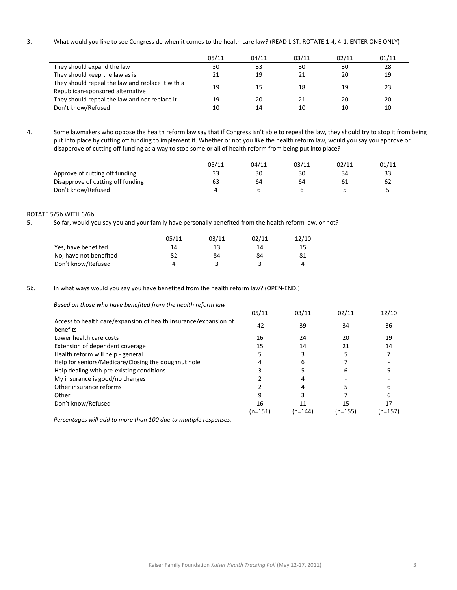3. What would you like to see Congress do when it comes to the health care law? (READ LIST. ROTATE 1‐4, 4‐1. ENTER ONE ONLY)

|                                                                                      | 05/11    | 04/11    | 03/11    | 02/11    | 01/11    |
|--------------------------------------------------------------------------------------|----------|----------|----------|----------|----------|
| They should expand the law                                                           | 30       | 33       | 30       | 30       | 28       |
| They should keep the law as is                                                       | 21       | 19       | 21       | 20       | 19       |
| They should repeal the law and replace it with a<br>Republican-sponsored alternative | 19       | 15       | 18       | 19       | 23       |
| They should repeal the law and not replace it<br>Don't know/Refused                  | 19<br>10 | 20<br>14 | 21<br>10 | 20<br>10 | 20<br>10 |
|                                                                                      |          |          |          |          |          |

4. Some lawmakers who oppose the health reform law say that if Congress isn't able to repeal the law, they should try to stop it from being put into place by cutting off funding to implement it. Whether or not you like the health reform law, would you say you approve or disapprove of cutting off funding as a way to stop some or all of health reform from being put into place?

|                                   | 05/11 | 04/11 | 03/11 | 02/11 | 01/11 |
|-----------------------------------|-------|-------|-------|-------|-------|
| Approve of cutting off funding    | 33    | 30    | 30    | 34    | 33    |
| Disapprove of cutting off funding | 63    | 64    | 64    |       |       |
| Don't know/Refused                |       |       |       |       |       |

#### ROTATE 5/5b WITH 6/6b

5. So far, would you say you and your family have personally benefited from the health reform law, or not?

|                        | 05/11 | 03/11 | 02/11 | 12/10 |
|------------------------|-------|-------|-------|-------|
| Yes, have benefited    | 14    | 13    | 14    |       |
| No, have not benefited | 82    | 84    | 84    | 81    |
| Don't know/Refused     |       |       |       |       |

#### 5b. In what ways would you say you have benefited from the health reform law? (OPEN‐END.)

*Based on those who have benefited from the health reform law*

|                                                                  | 05/11   | 03/11   | 02/11     | 12/10   |
|------------------------------------------------------------------|---------|---------|-----------|---------|
| Access to health care/expansion of health insurance/expansion of | 42      | 39      | 34        | 36      |
| benefits                                                         |         |         |           |         |
| Lower health care costs                                          | 16      | 24      | 20        | 19      |
| Extension of dependent coverage                                  | 15      | 14      | 21        | 14      |
| Health reform will help - general                                |         |         |           |         |
| Help for seniors/Medicare/Closing the doughnut hole              |         | 6       |           |         |
| Help dealing with pre-existing conditions                        |         |         | h         |         |
| My insurance is good/no changes                                  |         |         |           |         |
| Other insurance reforms                                          |         |         |           | 6       |
| Other                                                            | g       |         |           | 6       |
| Don't know/Refused                                               | 16      | 11      | 15        | 17      |
|                                                                  | (n=151) | (n=144) | $(n=155)$ | (n=157) |

*Percentages will add to more than 100 due to multiple responses.*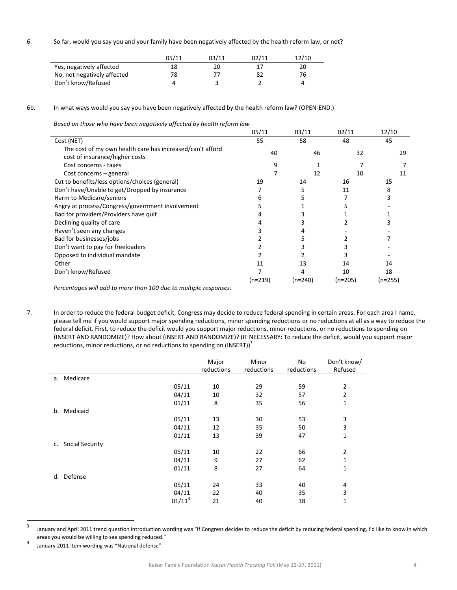6. So far, would you say you and your family have been negatively affected by the health reform law, or not?

|                             | 05/11 | 03/11 | 02/11 | 12/10 |
|-----------------------------|-------|-------|-------|-------|
| Yes, negatively affected    | 18    | 20    |       | 20    |
| No, not negatively affected | 78    |       |       | 76    |
| Don't know/Refused          |       |       |       |       |

6b. In what ways would you say you have been negatively affected by the health reform law? (OPEN‐END.)

*Based on those who have been negatively affected by health reform law*

|                                                           | 05/11     | 03/11     | 02/11     | 12/10   |
|-----------------------------------------------------------|-----------|-----------|-----------|---------|
| Cost (NET)                                                | 55        | 58        | 48        | 45      |
| The cost of my own health care has increased/can't afford | 40        | 46        | 32        | 29      |
| cost of insurance/higher costs                            |           |           |           |         |
| Cost concerns - taxes                                     | 9         |           |           |         |
| Cost concerns – general                                   |           | 12        | 10        | 11      |
| Cut to benefits/less options/choices (general)            | 19        | 14        | 16        | 15      |
| Don't have/Unable to get/Dropped by insurance             |           | 5         | 11        | 8       |
| Harm to Medicare/seniors                                  | h         |           |           | 3       |
| Angry at process/Congress/government involvement          |           |           |           |         |
| Bad for providers/Providers have quit                     |           |           |           |         |
| Declining quality of care                                 |           |           |           |         |
| Haven't seen any changes                                  |           | 4         |           |         |
| Bad for businesses/jobs                                   |           |           |           |         |
| Don't want to pay for freeloaders                         |           |           |           |         |
| Opposed to individual mandate                             |           |           |           |         |
| Other                                                     | 11        | 13        | 14        | 14      |
| Don't know/Refused                                        |           |           | 10        | 18      |
|                                                           | $(n=219)$ | $(n=240)$ | $(n=205)$ | (n=255) |
|                                                           |           |           |           |         |

*Percentages will add to more than 100 due to multiple responses.*

7. In order to reduce the federal budget deficit, Congress may decide to reduce federal spending in certain areas. For each area I name, please tell me if you would support major spending reductions, minor spending reductions or no reductions at all as a way to reduce the federal deficit. First, to reduce the deficit would you support major reductions, minor reductions, or no reductions to spending on (INSERT AND RANDOMIZE)? How about (INSERT AND RANDOMIZE)? (IF NECESSARY: To reduce the deficit, would you support major reductions, minor reductions, or no reductions to spending on (INSERT)) $3$ 

|    |                        |           | Major<br>reductions | Minor<br>reductions | No<br>reductions | Don't know/<br>Refused |
|----|------------------------|-----------|---------------------|---------------------|------------------|------------------------|
| a. | Medicare               |           |                     |                     |                  |                        |
|    |                        | 05/11     | 10                  | 29                  | 59               | $\overline{2}$         |
|    |                        | 04/11     | 10                  | 32                  | 57               | 2                      |
|    |                        | 01/11     | 8                   | 35                  | 56               | 1                      |
| b. | Medicaid               |           |                     |                     |                  |                        |
|    |                        | 05/11     | 13                  | 30                  | 53               | 3                      |
|    |                        | 04/11     | 12                  | 35                  | 50               | 3                      |
|    |                        | 01/11     | 13                  | 39                  | 47               | 1                      |
| c. | <b>Social Security</b> |           |                     |                     |                  |                        |
|    |                        | 05/11     | 10                  | 22                  | 66               | $\overline{2}$         |
|    |                        | 04/11     | 9                   | 27                  | 62               | 1                      |
|    |                        | 01/11     | 8                   | 27                  | 64               | 1                      |
| d. | Defense                |           |                     |                     |                  |                        |
|    |                        | 05/11     | 24                  | 33                  | 40               | 4                      |
|    |                        | 04/11     | 22                  | 40                  | 35               | 3                      |
|    |                        | $01/11^4$ | 21                  | 40                  | 38               | $\mathbf 1$            |

 <sup>3</sup> January and April 2011 trend question introduction wording was "If Congress decides to reduce the deficit by reducing federal spending, I'd like to know in which areas you would be willing to see spending reduced."<br> $4 + 2044$ 

January 2011 item wording was "National defense".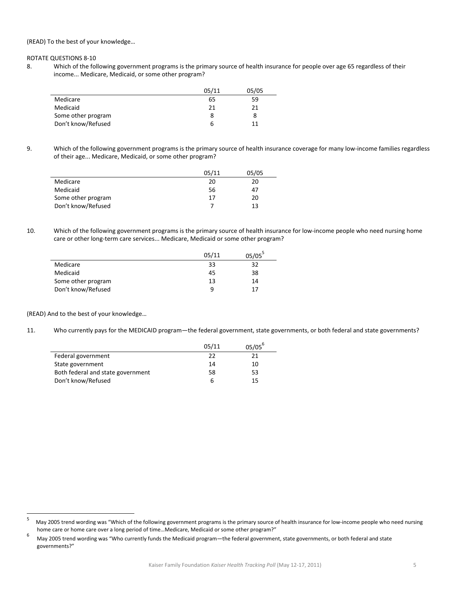(READ) To the best of your knowledge…

ROTATE QUESTIONS 8‐10

Ĭ.

8. Which of the following government programs is the primary source of health insurance for people over age 65 regardless of their income... Medicare, Medicaid, or some other program?

|                    | 05/11 | 05/05 |
|--------------------|-------|-------|
| Medicare           | 65    | 59    |
| Medicaid           | 21    | 21    |
| Some other program |       |       |
| Don't know/Refused | b     | 11    |

9. Which of the following government programs is the primary source of health insurance coverage for many low-income families regardless of their age... Medicare, Medicaid, or some other program?

|                    | 05/11 | 05/05 |
|--------------------|-------|-------|
| Medicare           | 20    | 20    |
| Medicaid           | 56    | 47    |
| Some other program | 17    | 20    |
| Don't know/Refused |       | 13    |

10. Which of the following government programs is the primary source of health insurance for low‐income people who need nursing home care or other long-term care services... Medicare, Medicaid or some other program?

|                    | 05/11 | $05/05^5$ |
|--------------------|-------|-----------|
| Medicare           | 33    | 32        |
| Medicaid           | 45    | 38        |
| Some other program | 13    | 14        |
| Don't know/Refused | q     | 17        |

(READ) And to the best of your knowledge…

11. Who currently pays for the MEDICAID program—the federal government, state governments, or both federal and state governments?

|                                   | 05/11 | $05/05^{b}$ |
|-----------------------------------|-------|-------------|
| Federal government                | 22    | 21          |
| State government                  | 14    | 10          |
| Both federal and state government | 58    | 53          |
| Don't know/Refused                | h     | 15          |

<sup>5</sup> May 2005 trend wording was "Which of the following government programs is the primary source of health insurance for low-income people who need nursing home care or home care over a long period of time...Medicare, Medicaid or some other program?"<br>
<sup>6</sup>

 May 2005 trend wording was "Who currently funds the Medicaid program—the federal government, state governments, or both federal and state governments?"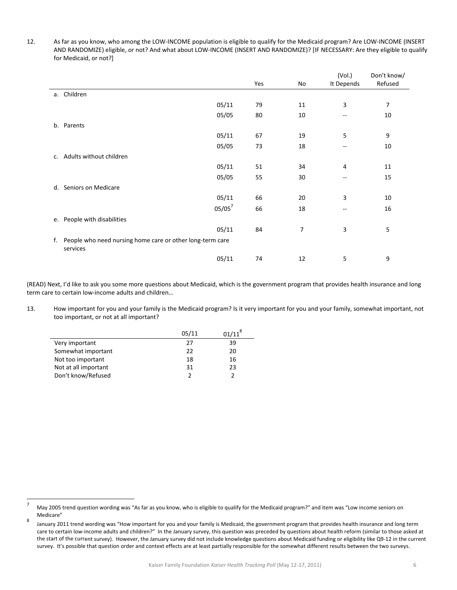12. As far as you know, who among the LOW‐INCOME population is eligible to qualify for the Medicaid program? Are LOW‐INCOME (INSERT AND RANDOMIZE) eligible, or not? And what about LOW‐INCOME (INSERT AND RANDOMIZE)? [IF NECESSARY: Are they eligible to qualify for Medicaid, or not?]

|                                                                          |     |    | (Vol.)     | Don't know/ |
|--------------------------------------------------------------------------|-----|----|------------|-------------|
|                                                                          | Yes | No | It Depends | Refused     |
| a. Children                                                              |     |    |            |             |
| 05/11                                                                    | 79  | 11 | 3          | 7           |
| 05/05                                                                    | 80  | 10 | --         | 10          |
| b. Parents                                                               |     |    |            |             |
| 05/11                                                                    | 67  | 19 | 5          | 9           |
| 05/05                                                                    | 73  | 18 | --         | 10          |
| c. Adults without children                                               |     |    |            |             |
| 05/11                                                                    | 51  | 34 | 4          | 11          |
| 05/05                                                                    | 55  | 30 | --         | 15          |
| d. Seniors on Medicare                                                   |     |    |            |             |
| 05/11                                                                    | 66  | 20 | 3          | 10          |
| $05/05^7$                                                                | 66  | 18 | --         | 16          |
| e. People with disabilities                                              |     |    |            |             |
| 05/11                                                                    | 84  | 7  | 3          | 5           |
| f. People who need nursing home care or other long-term care<br>services |     |    |            |             |
| 05/11                                                                    | 74  | 12 | 5          | 9           |

(READ) Next, I'd like to ask you some more questions about Medicaid, which is the government program that provides health insurance and long term care to certain low‐income adults and children…

13. How important for you and your family is the Medicaid program? Is it very important for you and your family, somewhat important, not too important, or not at all important?

|                      | 05/11 | $01/11^{8}$ |
|----------------------|-------|-------------|
| Very important       | 27    | 39          |
| Somewhat important   | 22    | 20          |
| Not too important    | 18    | 16          |
| Not at all important | 31    | 23          |
| Don't know/Refused   |       |             |

 <sup>7</sup> May 2005 trend question wording was "As far as you know, who is eligible to qualify for the Medicaid program?" and item was "Low income seniors on Medicare"<br>8 | **122211230** 

 January 2011 trend wording was "How important for you and your family is Medicaid, the government program that provides health insurance and long term care to certain low-income adults and children?" In the January survey, this question was preceded by questions about health reform (similar to those asked at the start of the current survey). However, the January survey did not include knowledge questions about Medicaid funding or eligibility like Q9‐12 in the current survey. It's possible that question order and context effects are at least partially responsible for the somewhat different results between the two surveys.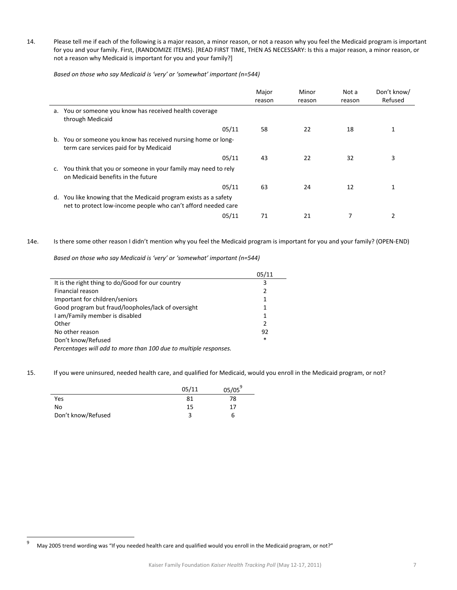14. Please tell me if each of the following is a major reason, a minor reason, or not a reason why you feel the Medicaid program is important for you and your family. First, (RANDOMIZE ITEMS). [READ FIRST TIME, THEN AS NECESSARY: Is this a major reason, a minor reason, or not a reason why Medicaid is important for you and your family?]

*Based on those who say Medicaid is 'very' or 'somewhat' important (n=544)*

|    |                                                                                                                                | Major<br>reason | Minor<br>reason | Not a<br>reason | Don't know/<br>Refused |
|----|--------------------------------------------------------------------------------------------------------------------------------|-----------------|-----------------|-----------------|------------------------|
|    | a. You or someone you know has received health coverage<br>through Medicaid                                                    |                 |                 |                 |                        |
|    | 05/11                                                                                                                          | 58              | 22              | 18              |                        |
| b. | You or someone you know has received nursing home or long-<br>term care services paid for by Medicaid                          |                 |                 |                 |                        |
|    | 05/11                                                                                                                          | 43              | 22              | 32              | 3                      |
| c. | You think that you or someone in your family may need to rely<br>on Medicaid benefits in the future                            |                 |                 |                 |                        |
|    | 05/11                                                                                                                          | 63              | 24              | 12              | 1                      |
| d. | You like knowing that the Medicaid program exists as a safety<br>net to protect low-income people who can't afford needed care |                 |                 |                 |                        |
|    | 05/11                                                                                                                          | 71              | 21              |                 |                        |

14e. Is there some other reason I didn't mention why you feel the Medicaid program is important for you and your family? (OPEN‐END)

*Based on those who say Medicaid is 'very' or 'somewhat' important (n=544)*

|                                                                  | 05/11          |
|------------------------------------------------------------------|----------------|
| It is the right thing to do/Good for our country                 | 3              |
| Financial reason                                                 | 2              |
| Important for children/seniors                                   | 1              |
| Good program but fraud/loopholes/lack of oversight               | 1              |
| I am/Family member is disabled                                   | 1              |
| Other                                                            | $\mathfrak{p}$ |
| No other reason                                                  | 92             |
| Don't know/Refused                                               | $\ast$         |
| Percentages will add to more than 100 due to multiple responses. |                |

15. If you were uninsured, needed health care, and qualified for Medicaid, would you enroll in the Medicaid program, or not?

|                    | 05/11 | $05/05^9$ |
|--------------------|-------|-----------|
| Yes                | 81    | 78        |
| No                 | 15    |           |
| Don't know/Refused |       | b         |

 <sup>9</sup> May 2005 trend wording was "If you needed health care and qualified would you enroll in the Medicaid program, or not?"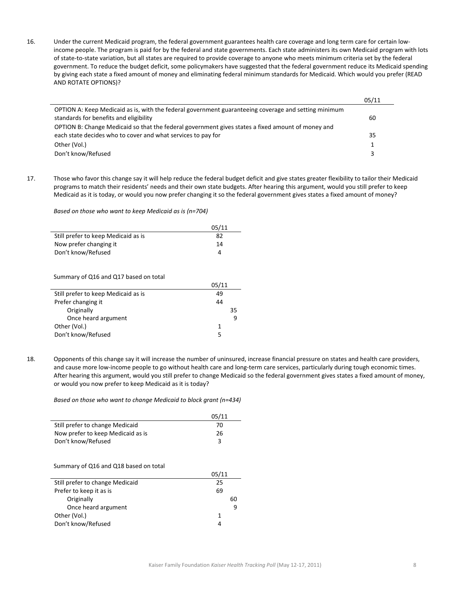16. Under the current Medicaid program, the federal government guarantees health care coverage and long term care for certain low‐ income people. The program is paid for by the federal and state governments. Each state administers its own Medicaid program with lots of state‐to‐state variation, but all states are required to provide coverage to anyone who meets minimum criteria set by the federal government. To reduce the budget deficit, some policymakers have suggested that the federal government reduce its Medicaid spending by giving each state a fixed amount of money and eliminating federal minimum standards for Medicaid. Which would you prefer (READ AND ROTATE OPTIONS)?

|                                                                                                                                                                   | 05/11 |
|-------------------------------------------------------------------------------------------------------------------------------------------------------------------|-------|
| OPTION A: Keep Medicaid as is, with the federal government guaranteeing coverage and setting minimum<br>standards for benefits and eligibility                    | 60    |
| OPTION B: Change Medicaid so that the federal government gives states a fixed amount of money and<br>each state decides who to cover and what services to pay for | 35    |
| Other (Vol.)                                                                                                                                                      |       |
| Don't know/Refused                                                                                                                                                |       |

17. Those who favor this change say it will help reduce the federal budget deficit and give states greater flexibility to tailor their Medicaid programs to match their residents' needs and their own state budgets. After hearing this argument, would you still prefer to keep Medicaid as it is today, or would you now prefer changing it so the federal government gives states a fixed amount of money?

*Based on those who want to keep Medicaid as is (n=704)*

|                                     | 05/11 |
|-------------------------------------|-------|
| Still prefer to keep Medicaid as is | 82    |
| Now prefer changing it              | 14    |
| Don't know/Refused                  | 4     |

Summary of Q16 and Q17 based on total

|                                     | 05/11 |
|-------------------------------------|-------|
| Still prefer to keep Medicaid as is | 49    |
| Prefer changing it                  | 44    |
| Originally                          | 35    |
| Once heard argument                 | q     |
| Other (Vol.)                        | 1     |
| Don't know/Refused                  | 5     |
|                                     |       |

18. Opponents of this change say it will increase the number of uninsured, increase financial pressure on states and health care providers, and cause more low-income people to go without health care and long-term care services, particularly during tough economic times. After hearing this argument, would you still prefer to change Medicaid so the federal government gives states a fixed amount of money, or would you now prefer to keep Medicaid as it is today?

*Based on those who want to change Medicaid to block grant (n=434)*

|                                   | 05/11 |
|-----------------------------------|-------|
| Still prefer to change Medicaid   | 70    |
| Now prefer to keep Medicaid as is | 26    |
| Don't know/Refused                | 3     |

#### Summary of Q16 and Q18 based on total

|                                 | 05/11 |    |
|---------------------------------|-------|----|
| Still prefer to change Medicaid | 25    |    |
| Prefer to keep it as is         | 69    |    |
| Originally                      |       | 60 |
| Once heard argument             |       | q  |
| Other (Vol.)                    |       |    |
| Don't know/Refused              | 4     |    |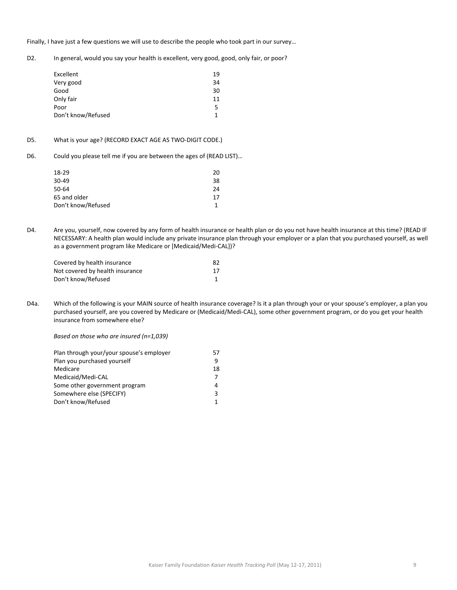Finally, I have just a few questions we will use to describe the people who took part in our survey…

D2. In general, would you say your health is excellent, very good, good, only fair, or poor?

| Excellent          | 19 |
|--------------------|----|
| Very good          | 34 |
| Good               | 30 |
| Only fair          | 11 |
| Poor               | 5. |
| Don't know/Refused |    |

## D5. What is your age? (RECORD EXACT AGE AS TWO-DIGIT CODE.)

D6. Could you please tell me if you are between the ages of (READ LIST)…

| 18-29              | 20 |
|--------------------|----|
| 30-49              | 38 |
| 50-64              | 24 |
| 65 and older       | 17 |
| Don't know/Refused | 1  |
|                    |    |

D4. Are you, yourself, now covered by any form of health insurance or health plan or do you not have health insurance at this time? (READ IF NECESSARY: A health plan would include any private insurance plan through your employer or a plan that you purchased yourself, as well as a government program like Medicare or [Medicaid/Medi‐CAL])?

| Covered by health insurance     | 82 |
|---------------------------------|----|
| Not covered by health insurance | 17 |
| Don't know/Refused              |    |

D4a. Which of the following is your MAIN source of health insurance coverage? Is it a plan through your or your spouse's employer, a plan you purchased yourself, are you covered by Medicare or (Medicaid/Medi‐CAL), some other government program, or do you get your health insurance from somewhere else?

*Based on those who are insured (n=1,039)*

| Plan through your/your spouse's employer | 57 |
|------------------------------------------|----|
| Plan you purchased yourself              | q  |
| Medicare                                 | 18 |
| Medicaid/Medi-CAL                        |    |
| Some other government program            | 4  |
| Somewhere else (SPECIFY)                 |    |
| Don't know/Refused                       |    |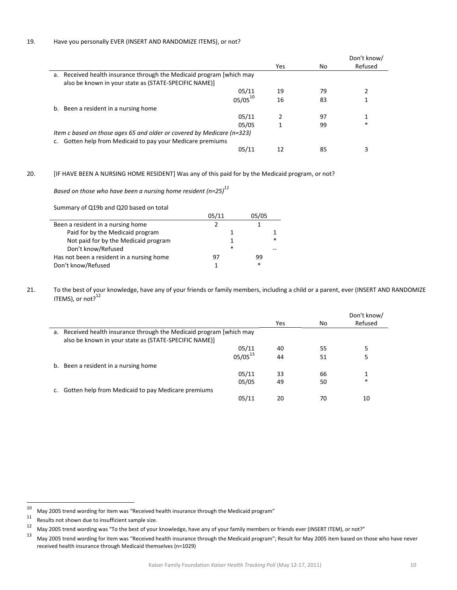|                                                                                                                               |     |     | Don't know/ |
|-------------------------------------------------------------------------------------------------------------------------------|-----|-----|-------------|
|                                                                                                                               | Yes | No. | Refused     |
| a. Received health insurance through the Medicaid program [which may<br>also be known in your state as (STATE-SPECIFIC NAME)] |     |     |             |
| 05/11                                                                                                                         | 19  | 79  |             |
| $05/05^{10}$                                                                                                                  | 16  | 83  |             |
| b. Been a resident in a nursing home                                                                                          |     |     |             |
| 05/11                                                                                                                         |     | 97  |             |
| 05/05                                                                                                                         |     | 99  | *           |
| Item c based on those ages 65 and older or covered by Medicare (n=323)                                                        |     |     |             |
| Gotten help from Medicaid to pay your Medicare premiums                                                                       |     |     |             |
| 05/11                                                                                                                         | 12  | 85  |             |

20. [IF HAVE BEEN A NURSING HOME RESIDENT] Was any of this paid for by the Medicaid program, or not?

*Based* on those who have been a nursing home resident (n=25)<sup>11</sup>

| Summary of Q19b and Q20 based on total    |        |       |   |
|-------------------------------------------|--------|-------|---|
|                                           | 05/11  | 05/05 |   |
| Been a resident in a nursing home         |        |       |   |
| Paid for by the Medicaid program          |        |       |   |
| Not paid for by the Medicaid program      |        |       | * |
| Don't know/Refused                        | $\ast$ |       |   |
| Has not been a resident in a nursing home |        | 99    |   |
| Don't know/Refused                        |        | *     |   |

21. To the best of your knowledge, have any of your friends or family members, including a child or a parent, ever (INSERT AND RANDOMIZE ITEMS), or not? $12$ 

|                                                                      |     |    | Don't know/ |
|----------------------------------------------------------------------|-----|----|-------------|
|                                                                      | Yes | No | Refused     |
| a. Received health insurance through the Medicaid program [which may |     |    |             |
| also be known in your state as (STATE-SPECIFIC NAME)]                |     |    |             |
| 05/11                                                                | 40  | 55 | 5           |
| $05/05^{13}$                                                         | 44  | 51 | 5           |
| b. Been a resident in a nursing home                                 |     |    |             |
| 05/11                                                                | 33  | 66 |             |
| 05/05                                                                | 49  | 50 | $\ast$      |
| Gotten help from Medicaid to pay Medicare premiums                   |     |    |             |
| 05/11                                                                | 20  | 70 | 10          |
|                                                                      |     |    |             |

<sup>&</sup>lt;sup>10</sup> May 2005 trend wording for item was "Received health insurance through the Medicaid program"<br><sup>11</sup> Results ast shown due to insufficient cample size

<sup>&</sup>lt;sup>11</sup> Results not shown due to insufficient sample size.

<sup>&</sup>lt;sup>12</sup> May 2005 trend wording was "To the best of your knowledge, have any of your family members or friends ever (INSERT ITEM), or not?"<br><sup>13</sup> May 2005 trend was line for item was "Deasived besith iterates the useb the Madi

May 2005 trend wording for item was "Received health insurance through the Medicaid program"; Result for May 2005 item based on those who have never received health insurance through Medicaid themselves (n=1029)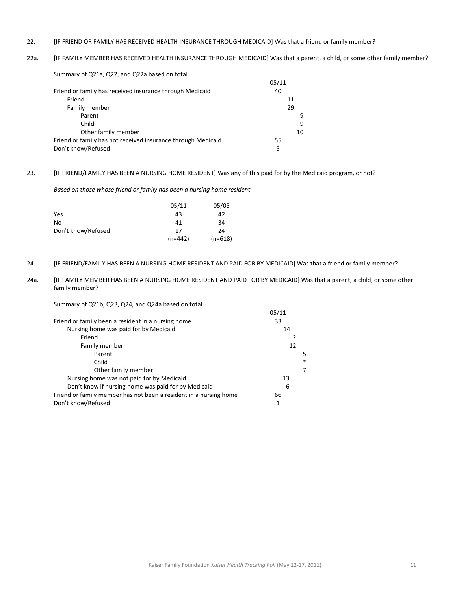## 22. [IF FRIEND OR FAMILY HAS RECEIVED HEALTH INSURANCE THROUGH MEDICAID] Was that a friend or family member?

# 22a. [IF FAMILY MEMBER HAS RECEIVED HEALTH INSURANCE THROUGH MEDICAID] Was that a parent, a child, or some other family member?

Summary of Q21a, Q22, and Q22a based on total

|                                                              | 05/11 |
|--------------------------------------------------------------|-------|
| Friend or family has received insurance through Medicaid     | 40    |
| Friend                                                       | 11    |
| Family member                                                | 29    |
| Parent                                                       | q     |
| Child                                                        | 9     |
| Other family member                                          | 10    |
| Friend or family has not received insurance through Medicaid | 55    |
| Don't know/Refused                                           | 5     |

#### 23. [IF FRIEND/FAMILY HAS BEEN A NURSING HOME RESIDENT] Was any of this paid for by the Medicaid program, or not?

*Based on those whose friend or family has been a nursing home resident*

|                    | 05/11     | 05/05     |
|--------------------|-----------|-----------|
| Yes                | 43        | 42        |
| No                 | 41        | 34        |
| Don't know/Refused | 17        | 24        |
|                    | $(n=442)$ | $(n=618)$ |

- 24. [IF FRIEND/FAMILY HAS BEEN A NURSING HOME RESIDENT AND PAID FOR BY MEDICAID] Was that a friend or family member?
- 24a. [IF FAMILY MEMBER HAS BEEN A NURSING HOME RESIDENT AND PAID FOR BY MEDICAID] Was that a parent, a child, or some other family member?

Summary of Q21b, Q23, Q24, and Q24a based on total

|                                                                   | 05/11 |        |
|-------------------------------------------------------------------|-------|--------|
| Friend or family been a resident in a nursing home                | 33    |        |
| Nursing home was paid for by Medicaid                             | 14    |        |
| Friend                                                            | 2     |        |
| Family member                                                     | 12    |        |
| Parent                                                            |       | 5      |
| Child                                                             |       | $\ast$ |
| Other family member                                               |       |        |
| Nursing home was not paid for by Medicaid                         | 13    |        |
| Don't know if nursing home was paid for by Medicaid               | 6     |        |
| Friend or family member has not been a resident in a nursing home | 66    |        |
| Don't know/Refused                                                | 1     |        |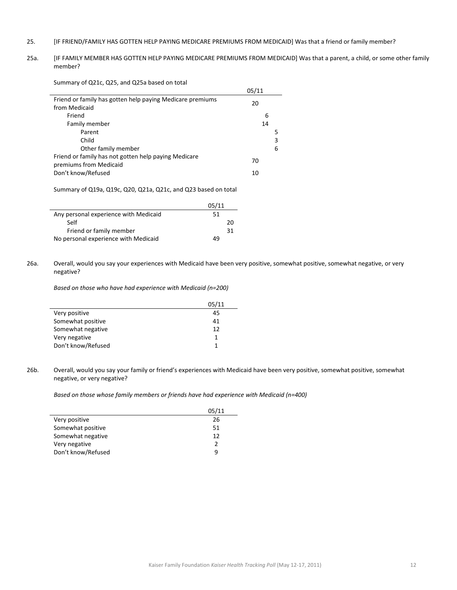- 25. [IF FRIEND/FAMILY HAS GOTTEN HELP PAYING MEDICARE PREMIUMS FROM MEDICAID] Was that a friend or family member?
- 25a. [IF FAMILY MEMBER HAS GOTTEN HELP PAYING MEDICARE PREMIUMS FROM MEDICAID] Was that a parent, a child, or some other family member?

Summary of Q21c, Q25, and Q25a based on total

|                                                           | 05/11 |   |
|-----------------------------------------------------------|-------|---|
| Friend or family has gotten help paying Medicare premiums | 20    |   |
| from Medicaid                                             |       |   |
| Friend                                                    | 6     |   |
| Family member                                             | 14    |   |
| Parent                                                    |       | 5 |
| Child                                                     |       | 3 |
| Other family member                                       |       | 6 |
| Friend or family has not gotten help paying Medicare      | 70    |   |
| premiums from Medicaid                                    |       |   |
| Don't know/Refused                                        | 10    |   |

Summary of Q19a, Q19c, Q20, Q21a, Q21c, and Q23 based on total

|                                       | 05/11 |
|---------------------------------------|-------|
| Any personal experience with Medicaid | 51    |
| Self                                  | 20    |
| Friend or family member               | 31    |
| No personal experience with Medicaid  | 49    |

26a. Overall, would you say your experiences with Medicaid have been very positive, somewhat positive, somewhat negative, or very negative?

*Based on those who have had experience with Medicaid (n=200)*

|                    | 05/11 |
|--------------------|-------|
| Very positive      | 45    |
| Somewhat positive  | 41    |
| Somewhat negative  | 12    |
| Very negative      |       |
| Don't know/Refused |       |

26b. Overall, would you say your family or friend's experiences with Medicaid have been very positive, somewhat positive, somewhat negative, or very negative?

*Based on those whose family members or friends have had experience with Medicaid (n=400)*

|                    | 05/11         |
|--------------------|---------------|
| Very positive      | 26            |
| Somewhat positive  | 51            |
| Somewhat negative  | 12            |
| Very negative      | $\mathcal{P}$ |
| Don't know/Refused | q             |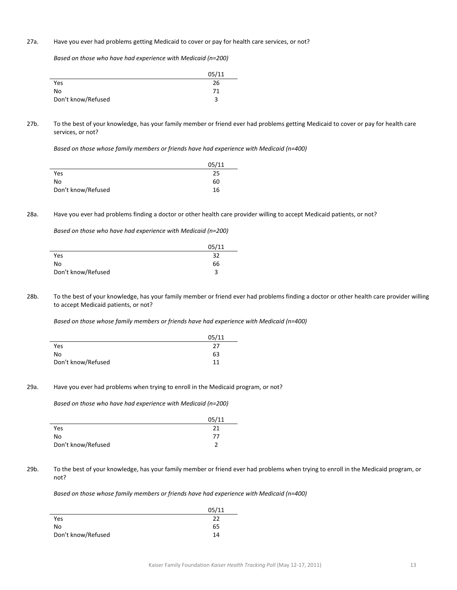## 27a. Have you ever had problems getting Medicaid to cover or pay for health care services, or not?

*Based on those who have had experience with Medicaid (n=200)*

|                    | 05/11 |
|--------------------|-------|
| Yes                | 26    |
| No                 | 71    |
| Don't know/Refused | ς     |

27b. To the best of your knowledge, has your family member or friend ever had problems getting Medicaid to cover or pay for health care services, or not?

*Based on those whose family members or friends have had experience with Medicaid (n=400)*

|                    | 05/11 |
|--------------------|-------|
| Yes                | 25    |
| No                 | 60    |
| Don't know/Refused | 16    |

28a. Have you ever had problems finding a doctor or other health care provider willing to accept Medicaid patients, or not?

*Based on those who have had experience with Medicaid (n=200)*

|                    | 05/11 |
|--------------------|-------|
| Yes                | 32    |
| No                 | 66    |
| Don't know/Refused |       |

28b. To the best of your knowledge, has your family member or friend ever had problems finding a doctor or other health care provider willing to accept Medicaid patients, or not?

*Based on those whose family members or friends have had experience with Medicaid (n=400)*

|                    | 05/11 |
|--------------------|-------|
| Yes                | 27    |
| No                 | 63    |
| Don't know/Refused | 11    |

#### 29a. Have you ever had problems when trying to enroll in the Medicaid program, or not?

*Based on those who have had experience with Medicaid (n=200)*

|                    | 05/11 |
|--------------------|-------|
| Yes                | 21    |
| No                 | 77    |
| Don't know/Refused |       |

29b. To the best of your knowledge, has your family member or friend ever had problems when trying to enroll in the Medicaid program, or not?

*Based on those whose family members or friends have had experience with Medicaid (n=400)*

|                    | 05/11 |
|--------------------|-------|
| Yes                | 22    |
| No                 | 65    |
| Don't know/Refused | 14    |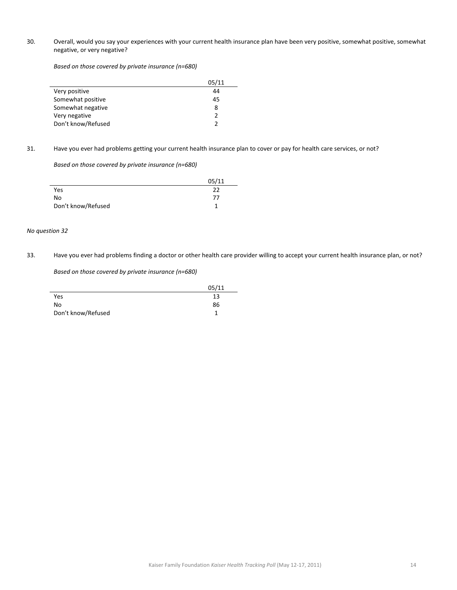30. Overall, would you say your experiences with your current health insurance plan have been very positive, somewhat positive, somewhat negative, or very negative?

*Based on those covered by private insurance (n=680)*

|                    | 05/11         |
|--------------------|---------------|
| Very positive      | 44            |
| Somewhat positive  | 45            |
| Somewhat negative  | 8             |
| Very negative      | $\mathcal{P}$ |
| Don't know/Refused | $\mathcal{P}$ |

31. Have you ever had problems getting your current health insurance plan to cover or pay for health care services, or not?

*Based on those covered by private insurance (n=680)*

|                    | 05/11 |
|--------------------|-------|
| Yes                | 22    |
| No                 | 77    |
| Don't know/Refused |       |

#### *No question 32*

33. Have you ever had problems finding a doctor or other health care provider willing to accept your current health insurance plan, or not?

*Based on those covered by private insurance (n=680)*

|                    | 05/11 |
|--------------------|-------|
| Yes                | 13    |
| No                 | 86    |
| Don't know/Refused |       |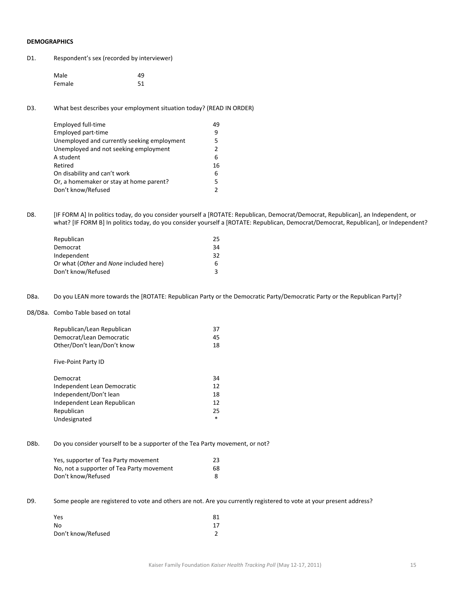# **DEMOGRAPHICS**

| Respondent's sex (recorded by interviewer) |  |
|--------------------------------------------|--|
|                                            |  |

| Male   | 49 |
|--------|----|
| Female | 51 |

D3. What best describes your employment situation today? (READ IN ORDER)

| Employed full-time                          | 49 |
|---------------------------------------------|----|
| Employed part-time                          | 9  |
| Unemployed and currently seeking employment | 5  |
| Unemployed and not seeking employment       | 2  |
| A student                                   | 6  |
| Retired                                     | 16 |
| On disability and can't work                | 6  |
| Or, a homemaker or stay at home parent?     | 5  |
| Don't know/Refused                          |    |
|                                             |    |

D8. [IF FORM A] In politics today, do you consider yourself a [ROTATE: Republican, Democrat/Democrat, Republican], an Independent, or what? [IF FORM B] In politics today, do you consider yourself a [ROTATE: Republican, Democrat/Democrat, Republican], or Independent?

| Republican                             | 25 |
|----------------------------------------|----|
| Democrat                               | 34 |
| Independent                            | 32 |
| Or what (Other and None included here) | 6. |
| Don't know/Refused                     |    |
|                                        |    |

D8a. Do you LEAN more towards the [ROTATE: Republican Party or the Democratic Party/Democratic Party or the Republican Party]?

#### D8/D8a. Combo Table based on total

| Republican/Lean Republican  | 37 |
|-----------------------------|----|
| Democrat/Lean Democratic    | 45 |
| Other/Don't lean/Don't know | 18 |
|                             |    |
| Five-Point Party ID         |    |
|                             |    |
| Democrat                    | 34 |

| -----------                 | - - |
|-----------------------------|-----|
| Independent Lean Democratic | 12  |
| Independent/Don't lean      | 18  |
| Independent Lean Republican | 12  |
| Republican                  | 25  |
| Undesignated                |     |
|                             |     |

## D8b. Do you consider yourself to be a supporter of the Tea Party movement, or not?

| Yes, supporter of Tea Party movement      | 23 |
|-------------------------------------------|----|
| No, not a supporter of Tea Party movement | 68 |
| Don't know/Refused                        |    |

D9. Some people are registered to vote and others are not. Are you currently registered to vote at your present address?

| Yes                | 81 |
|--------------------|----|
| No                 | 17 |
| Don't know/Refused |    |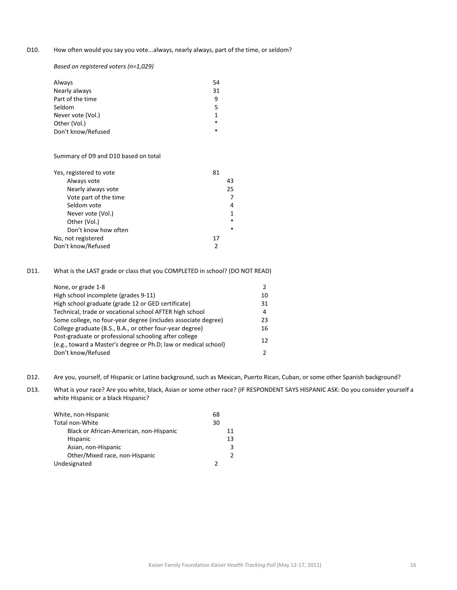D10. How often would you say you vote...always, nearly always, part of the time, or seldom?

*Based on registered voters (n=1,029)*

| 54     |
|--------|
| 31     |
| q      |
| 5      |
|        |
| $\ast$ |
| $\ast$ |
|        |

## Summary of D9 and D10 based on total

| Yes, registered to vote |    |        |
|-------------------------|----|--------|
| Always vote             |    | 43     |
| Nearly always vote      |    | 25     |
| Vote part of the time   |    |        |
| Seldom vote             |    | 4      |
| Never vote (Vol.)       |    | 1      |
| Other (Vol.)            |    | $\ast$ |
| Don't know how often    |    | $\ast$ |
| No, not registered      | 17 |        |
| Don't know/Refused      | 2  |        |

D11. What is the LAST grade or class that you COMPLETED in school? (DO NOT READ)

| None, or grade 1-8                                              | $\mathcal{P}$ |
|-----------------------------------------------------------------|---------------|
| High school incomplete (grades 9-11)                            | 10            |
| High school graduate (grade 12 or GED certificate)              | 31            |
| Technical, trade or vocational school AFTER high school         | 4             |
| Some college, no four-year degree (includes associate degree)   | 23            |
| College graduate (B.S., B.A., or other four-year degree)        | 16            |
| Post-graduate or professional schooling after college           | 12            |
| (e.g., toward a Master's degree or Ph.D; law or medical school) |               |
| Don't know/Refused                                              | $\mathcal{P}$ |

- D12. Are you, yourself, of Hispanic or Latino background, such as Mexican, Puerto Rican, Cuban, or some other Spanish background?
- D13. What is your race? Are you white, black, Asian or some other race? (IF RESPONDENT SAYS HISPANIC ASK: Do you consider yourself a white Hispanic or a black Hispanic?

| White, non-Hispanic                     | 68 |
|-----------------------------------------|----|
| Total non-White                         | 30 |
| Black or African-American, non-Hispanic | 11 |
| Hispanic                                | 13 |
| Asian, non-Hispanic                     | 3  |
| Other/Mixed race, non-Hispanic          | 2  |
| Undesignated                            | າ  |
|                                         |    |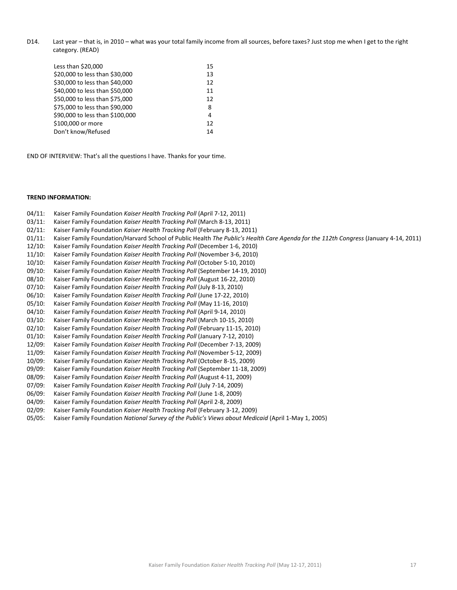D14. Last year – that is, in 2010 – what was your total family income from all sources, before taxes? Just stop me when I get to the right category. (READ)

| Less than \$20,000              | 15 |
|---------------------------------|----|
| \$20,000 to less than \$30,000  | 13 |
| \$30,000 to less than \$40,000  | 12 |
| \$40,000 to less than \$50,000  | 11 |
| \$50,000 to less than \$75,000  | 12 |
| \$75,000 to less than \$90,000  | 8  |
| \$90,000 to less than \$100,000 | 4  |
| \$100,000 or more               | 12 |
| Don't know/Refused              | 14 |
|                                 |    |

END OF INTERVIEW: That's all the questions I have. Thanks for your time.

#### **TREND INFORMATION:**

- 04/11: Kaiser Family Foundation *Kaiser Health Tracking Poll* (April 7‐12, 2011)
- 03/11: Kaiser Family Foundation *Kaiser Health Tracking Poll* (March 8‐13, 2011)
- 02/11: Kaiser Family Foundation *Kaiser Health Tracking Poll* (February 8‐13, 2011)
- 01/11: Kaiser Family Foundation/Harvard School of Public Health *The Public's Health Care Agenda for the 112th Congress* (January 4‐14, 2011)
- 12/10: Kaiser Family Foundation *Kaiser Health Tracking Poll* (December 1‐6, 2010)
- 11/10: Kaiser Family Foundation *Kaiser Health Tracking Poll* (November 3‐6, 2010)
- 10/10: Kaiser Family Foundation *Kaiser Health Tracking Poll* (October 5‐10, 2010)
- 09/10: Kaiser Family Foundation *Kaiser Health Tracking Poll* (September 14‐19, 2010)
- 08/10: Kaiser Family Foundation *Kaiser Health Tracking Poll* (August 16‐22, 2010)
- 07/10: Kaiser Family Foundation *Kaiser Health Tracking Poll* (July 8‐13, 2010)
- 06/10: Kaiser Family Foundation *Kaiser Health Tracking Poll* (June 17‐22, 2010)
- 05/10: Kaiser Family Foundation *Kaiser Health Tracking Poll* (May 11‐16, 2010)
- 04/10: Kaiser Family Foundation *Kaiser Health Tracking Poll* (April 9‐14, 2010)
- 03/10: Kaiser Family Foundation *Kaiser Health Tracking Poll* (March 10‐15, 2010)
- 02/10: Kaiser Family Foundation *Kaiser Health Tracking Poll* (February 11‐15, 2010)
- 01/10: Kaiser Family Foundation *Kaiser Health Tracking Poll* (January 7‐12, 2010)
- 12/09: Kaiser Family Foundation *Kaiser Health Tracking Poll* (December 7‐13, 2009)
- 11/09: Kaiser Family Foundation *Kaiser Health Tracking Poll* (November 5‐12, 2009)
- 10/09: Kaiser Family Foundation *Kaiser Health Tracking Poll* (October 8‐15, 2009)
- 09/09: Kaiser Family Foundation *Kaiser Health Tracking Poll* (September 11‐18, 2009)
- 08/09: Kaiser Family Foundation *Kaiser Health Tracking Poll* (August 4‐11, 2009)
- 07/09: Kaiser Family Foundation *Kaiser Health Tracking Poll* (July 7‐14, 2009)
- 06/09: Kaiser Family Foundation *Kaiser Health Tracking Poll* (June 1‐8, 2009)
- 04/09: Kaiser Family Foundation *Kaiser Health Tracking Poll* (April 2‐8, 2009)
- 02/09: Kaiser Family Foundation *Kaiser Health Tracking Poll* (February 3‐12, 2009)
- 05/05: Kaiser Family Foundation *National Survey of the Public's Views about Medicaid* (April 1‐May 1, 2005)